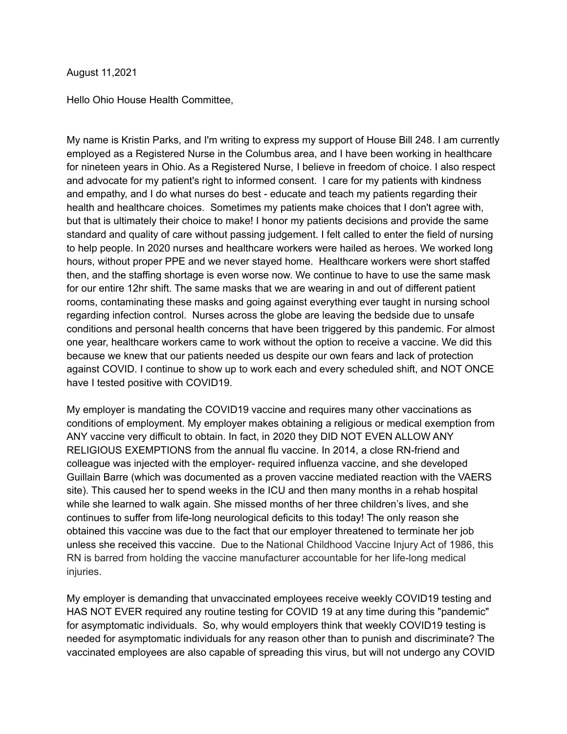## August 11,2021

Hello Ohio House Health Committee,

My name is Kristin Parks, and I'm writing to express my support of House Bill 248. I am currently employed as a Registered Nurse in the Columbus area, and I have been working in healthcare for nineteen years in Ohio. As a Registered Nurse, I believe in freedom of choice. I also respect and advocate for my patient's right to informed consent. I care for my patients with kindness and empathy, and I do what nurses do best - educate and teach my patients regarding their health and healthcare choices. Sometimes my patients make choices that I don't agree with, but that is ultimately their choice to make! I honor my patients decisions and provide the same standard and quality of care without passing judgement. I felt called to enter the field of nursing to help people. In 2020 nurses and healthcare workers were hailed as heroes. We worked long hours, without proper PPE and we never stayed home. Healthcare workers were short staffed then, and the staffing shortage is even worse now. We continue to have to use the same mask for our entire 12hr shift. The same masks that we are wearing in and out of different patient rooms, contaminating these masks and going against everything ever taught in nursing school regarding infection control. Nurses across the globe are leaving the bedside due to unsafe conditions and personal health concerns that have been triggered by this pandemic. For almost one year, healthcare workers came to work without the option to receive a vaccine. We did this because we knew that our patients needed us despite our own fears and lack of protection against COVID. I continue to show up to work each and every scheduled shift, and NOT ONCE have I tested positive with COVID19.

My employer is mandating the COVID19 vaccine and requires many other vaccinations as conditions of employment. My employer makes obtaining a religious or medical exemption from ANY vaccine very difficult to obtain. In fact, in 2020 they DID NOT EVEN ALLOW ANY RELIGIOUS EXEMPTIONS from the annual flu vaccine. In 2014, a close RN-friend and colleague was injected with the employer- required influenza vaccine, and she developed Guillain Barre (which was documented as a proven vaccine mediated reaction with the VAERS site). This caused her to spend weeks in the ICU and then many months in a rehab hospital while she learned to walk again. She missed months of her three children's lives, and she continues to suffer from life-long neurological deficits to this today! The only reason she obtained this vaccine was due to the fact that our employer threatened to terminate her job unless she received this vaccine. Due to the National Childhood Vaccine Injury Act of 1986, this RN is barred from holding the vaccine manufacturer accountable for her life-long medical injuries.

My employer is demanding that unvaccinated employees receive weekly COVID19 testing and HAS NOT EVER required any routine testing for COVID 19 at any time during this "pandemic" for asymptomatic individuals. So, why would employers think that weekly COVID19 testing is needed for asymptomatic individuals for any reason other than to punish and discriminate? The vaccinated employees are also capable of spreading this virus, but will not undergo any COVID